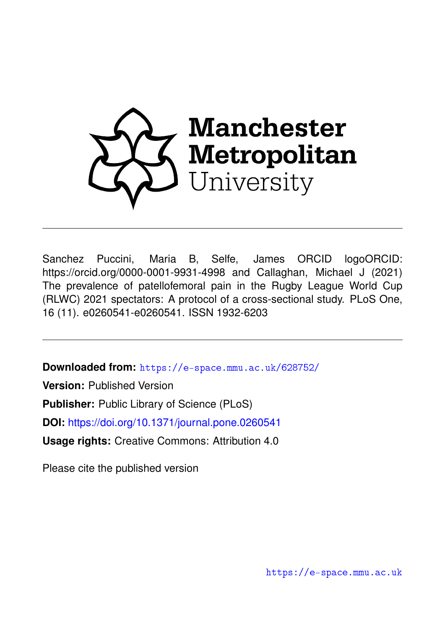

Sanchez Puccini, Maria B, Selfe, James ORCID logoORCID: https://orcid.org/0000-0001-9931-4998 and Callaghan, Michael J (2021) The prevalence of patellofemoral pain in the Rugby League World Cup (RLWC) 2021 spectators: A protocol of a cross-sectional study. PLoS One, 16 (11). e0260541-e0260541. ISSN 1932-6203

**Downloaded from:** <https://e-space.mmu.ac.uk/628752/>

**Version:** Published Version

**Publisher:** Public Library of Science (PLoS)

**DOI:** <https://doi.org/10.1371/journal.pone.0260541>

**Usage rights:** Creative Commons: Attribution 4.0

Please cite the published version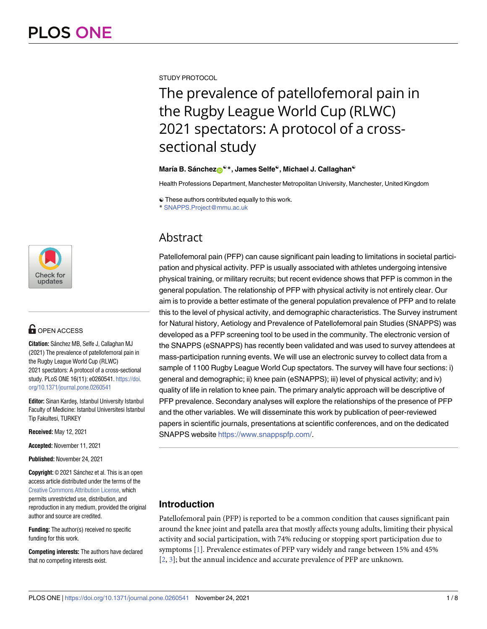

## **OPEN ACCESS**

**Citation:** Sánchez MB, Selfe J, Callaghan MJ (2021) The prevalence of patellofemoral pain in the Rugby League World Cup (RLWC) 2021 spectators: A protocol of a cross-sectional study. PLoS ONE 16(11): e0260541. [https://doi.](https://doi.org/10.1371/journal.pone.0260541) [org/10.1371/journal.pone.0260541](https://doi.org/10.1371/journal.pone.0260541)

**Editor:** Sinan Kardeş, Istanbul University Istanbul Faculty of Medicine: Istanbul Universitesi Istanbul Tip Fakultesi, TURKEY

**Received:** May 12, 2021

**Accepted:** November 11, 2021

**Published:** November 24, 2021

**Copyright:** © 2021 Sánchez et al. This is an open access article distributed under the terms of the Creative Commons [Attribution](http://creativecommons.org/licenses/by/4.0/) License, which permits unrestricted use, distribution, and reproduction in any medium, provided the original author and source are credited.

**Funding:** The author(s) received no specific funding for this work.

**Competing interests:** The authors have declared that no competing interests exist.

<span id="page-1-0"></span>STUDY PROTOCOL

# The prevalence of patellofemoral pain in the Rugby League World Cup (RLWC) 2021 spectators: A protocol of a crosssectional study

## $\text{María B. Sánchez}^{\bigcirc}$ , James Selfe<sup>©</sup>, Michael J. Callaghan<sup>©</sup>

Health Professions Department, Manchester Metropolitan University, Manchester, United Kingdom

☯ These authors contributed equally to this work.

\* SNAPPS.Project@mmu.ac.uk

## Abstract

Patellofemoral pain (PFP) can cause significant pain leading to limitations in societal participation and physical activity. PFP is usually associated with athletes undergoing intensive physical training, or military recruits; but recent evidence shows that PFP is common in the general population. The relationship of PFP with physical activity is not entirely clear. Our aim is to provide a better estimate of the general population prevalence of PFP and to relate this to the level of physical activity, and demographic characteristics. The Survey instrument for Natural history, Aetiology and Prevalence of Patellofemoral pain Studies (SNAPPS) was developed as a PFP screening tool to be used in the community. The electronic version of the SNAPPS (eSNAPPS) has recently been validated and was used to survey attendees at mass-participation running events. We will use an electronic survey to collect data from a sample of 1100 Rugby League World Cup spectators. The survey will have four sections: i) general and demographic; ii) knee pain (eSNAPPS); iii) level of physical activity; and iv) quality of life in relation to knee pain. The primary analytic approach will be descriptive of PFP prevalence. Secondary analyses will explore the relationships of the presence of PFP and the other variables. We will disseminate this work by publication of peer-reviewed papers in scientific journals, presentations at scientific conferences, and on the dedicated SNAPPS website <https://www.snappspfp.com/>.

## **Introduction**

Patellofemoral pain (PFP) is reported to be a common condition that causes significant pain around the knee joint and patella area that mostly affects young adults, limiting their physical activity and social participation, with 74% reducing or stopping sport participation due to symptoms [\[1\]](#page-7-0). Prevalence estimates of PFP vary widely and range between 15% and 45% [\[2](#page-7-0), [3](#page-7-0)]; but the annual incidence and accurate prevalence of PFP are unknown.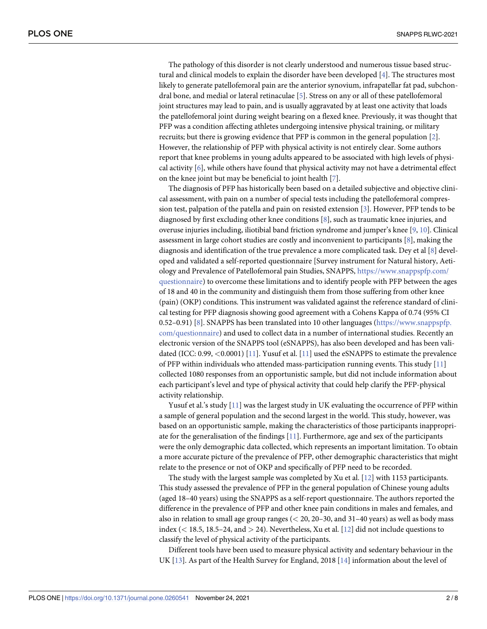<span id="page-2-0"></span>The pathology of this disorder is not clearly understood and numerous tissue based structural and clinical models to explain the disorder have been developed [[4\]](#page-7-0). The structures most likely to generate patellofemoral pain are the anterior synovium, infrapatellar fat pad, subchondral bone, and medial or lateral retinaculae [\[5](#page-7-0)]. Stress on any or all of these patellofemoral joint structures may lead to pain, and is usually aggravated by at least one activity that loads the patellofemoral joint during weight bearing on a flexed knee. Previously, it was thought that PFP was a condition affecting athletes undergoing intensive physical training, or military recruits; but there is growing evidence that PFP is common in the general population [\[2\]](#page-7-0). However, the relationship of PFP with physical activity is not entirely clear. Some authors report that knee problems in young adults appeared to be associated with high levels of physical activity [[6\]](#page-7-0), while others have found that physical activity may not have a detrimental effect on the knee joint but may be beneficial to joint health [[7\]](#page-7-0).

The diagnosis of PFP has historically been based on a detailed subjective and objective clinical assessment, with pain on a number of special tests including the patellofemoral compression test, palpation of the patella and pain on resisted extension [[3](#page-7-0)]. However, PFP tends to be diagnosed by first excluding other knee conditions [[8](#page-7-0)], such as traumatic knee injuries, and overuse injuries including, iliotibial band friction syndrome and jumper's knee [[9](#page-7-0), [10](#page-7-0)]. Clinical assessment in large cohort studies are costly and inconvenient to participants [\[8](#page-7-0)], making the diagnosis and identification of the true prevalence a more complicated task. Dey et al [\[8](#page-7-0)] developed and validated a self-reported questionnaire [Survey instrument for Natural history, Aetiology and Prevalence of Patellofemoral pain Studies, SNAPPS, [https://www.snappspfp.com/](https://www.snappspfp.com/questionnaire) [questionnaire\)](https://www.snappspfp.com/questionnaire) to overcome these limitations and to identify people with PFP between the ages of 18 and 40 in the community and distinguish them from those suffering from other knee (pain) (OKP) conditions. This instrument was validated against the reference standard of clinical testing for PFP diagnosis showing good agreement with a Cohens Kappa of 0.74 (95% CI 0.52–0.91) [\[8\]](#page-7-0). SNAPPS has been translated into 10 other languages [\(https://www.snappspfp.](https://www.snappspfp.com/questionnaire) [com/questionnaire\)](https://www.snappspfp.com/questionnaire) and used to collect data in a number of international studies. Recently an electronic version of the SNAPPS tool (eSNAPPS), has also been developed and has been validated (ICC: 0.99, *<*0.0001) [[11](#page-7-0)]. Yusuf et al. [[11](#page-7-0)] used the eSNAPPS to estimate the prevalence of PFP within individuals who attended mass-participation running events. This study [[11\]](#page-7-0) collected 1080 responses from an opportunistic sample, but did not include information about each participant's level and type of physical activity that could help clarify the PFP-physical activity relationship.

Yusuf et al.'s study [\[11\]](#page-7-0) was the largest study in UK evaluating the occurrence of PFP within a sample of general population and the second largest in the world. This study, however, was based on an opportunistic sample, making the characteristics of those participants inappropriate for the generalisation of the findings [[11](#page-7-0)]. Furthermore, age and sex of the participants were the only demographic data collected, which represents an important limitation. To obtain a more accurate picture of the prevalence of PFP, other demographic characteristics that might relate to the presence or not of OKP and specifically of PFP need to be recorded.

The study with the largest sample was completed by Xu et al. [[12](#page-8-0)] with 1153 participants. This study assessed the prevalence of PFP in the general population of Chinese young adults (aged 18–40 years) using the SNAPPS as a self-report questionnaire. The authors reported the difference in the prevalence of PFP and other knee pain conditions in males and females, and also in relation to small age group ranges (*<* 20, 20–30, and 31–40 years) as well as body mass index (*<* 18.5, 18.5–24, and *>* 24). Nevertheless, Xu et al. [\[12\]](#page-8-0) did not include questions to classify the level of physical activity of the participants.

Different tools have been used to measure physical activity and sedentary behaviour in the UK [[13](#page-8-0)]. As part of the Health Survey for England, 2018 [[14](#page-8-0)] information about the level of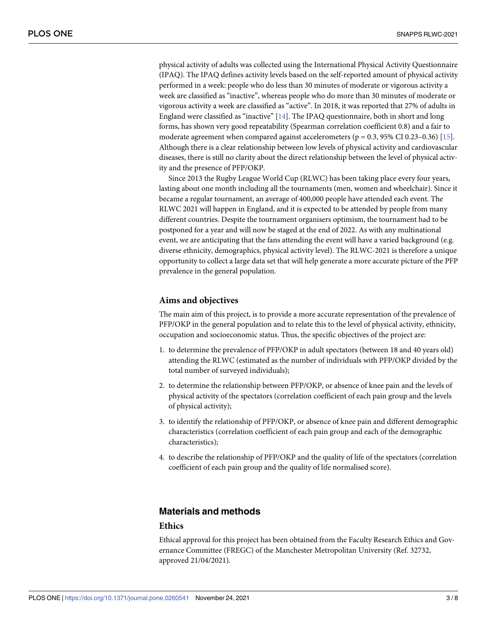<span id="page-3-0"></span>physical activity of adults was collected using the International Physical Activity Questionnaire (IPAQ). The IPAQ defines activity levels based on the self-reported amount of physical activity performed in a week: people who do less than 30 minutes of moderate or vigorous activity a week are classified as "inactive", whereas people who do more than 30 minutes of moderate or vigorous activity a week are classified as "active". In 2018, it was reported that 27% of adults in England were classified as "inactive" [[14](#page-8-0)]. The IPAQ questionnaire, both in short and long forms, has shown very good repeatability (Spearman correlation coefficient 0.8) and a fair to moderate agreement when compared against accelerometers ( $p = 0.3$ , 95% CI 0.23–0.36) [[15](#page-8-0)]. Although there is a clear relationship between low levels of physical activity and cardiovascular diseases, there is still no clarity about the direct relationship between the level of physical activity and the presence of PFP/OKP.

Since 2013 the Rugby League World Cup (RLWC) has been taking place every four years, lasting about one month including all the tournaments (men, women and wheelchair). Since it became a regular tournament, an average of 400,000 people have attended each event. The RLWC 2021 will happen in England, and it is expected to be attended by people from many different countries. Despite the tournament organisers optimism, the tournament had to be postponed for a year and will now be staged at the end of 2022. As with any multinational event, we are anticipating that the fans attending the event will have a varied background (e.g. diverse ethnicity, demographics, physical activity level). The RLWC-2021 is therefore a unique opportunity to collect a large data set that will help generate a more accurate picture of the PFP prevalence in the general population.

#### **Aims and objectives**

The main aim of this project, is to provide a more accurate representation of the prevalence of PFP/OKP in the general population and to relate this to the level of physical activity, ethnicity, occupation and socioeconomic status. Thus, the specific objectives of the project are:

- 1. to determine the prevalence of PFP/OKP in adult spectators (between 18 and 40 years old) attending the RLWC (estimated as the number of individuals with PFP/OKP divided by the total number of surveyed individuals);
- 2. to determine the relationship between PFP/OKP, or absence of knee pain and the levels of physical activity of the spectators (correlation coefficient of each pain group and the levels of physical activity);
- 3. to identify the relationship of PFP/OKP, or absence of knee pain and different demographic characteristics (correlation coefficient of each pain group and each of the demographic characteristics);
- 4. to describe the relationship of PFP/OKP and the quality of life of the spectators (correlation coefficient of each pain group and the quality of life normalised score).

## **Materials and methods**

## **Ethics**

Ethical approval for this project has been obtained from the Faculty Research Ethics and Governance Committee (FREGC) of the Manchester Metropolitan University (Ref. 32732, approved 21/04/2021).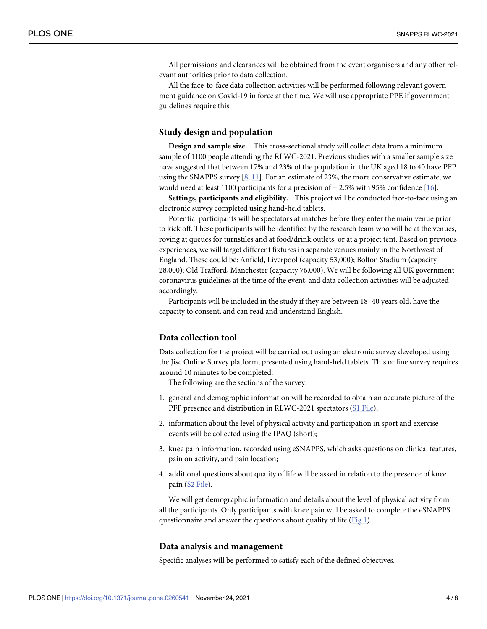<span id="page-4-0"></span>All permissions and clearances will be obtained from the event organisers and any other relevant authorities prior to data collection.

All the face-to-face data collection activities will be performed following relevant government guidance on Covid-19 in force at the time. We will use appropriate PPE if government guidelines require this.

## **Study design and population**

**Design and sample size.** This cross-sectional study will collect data from a minimum sample of 1100 people attending the RLWC-2021. Previous studies with a smaller sample size have suggested that between 17% and 23% of the population in the UK aged 18 to 40 have PFP using the SNAPPS survey  $[8, 11]$  $[8, 11]$  $[8, 11]$ . For an estimate of 23%, the more conservative estimate, we would need at least 1100 participants for a precision of  $\pm$  2.5% with 95% confidence [\[16\]](#page-8-0).

**Settings, participants and eligibility.** This project will be conducted face-to-face using an electronic survey completed using hand-held tablets.

Potential participants will be spectators at matches before they enter the main venue prior to kick off. These participants will be identified by the research team who will be at the venues, roving at queues for turnstiles and at food/drink outlets, or at a project tent. Based on previous experiences, we will target different fixtures in separate venues mainly in the Northwest of England. These could be: Anfield, Liverpool (capacity 53,000); Bolton Stadium (capacity 28,000); Old Trafford, Manchester (capacity 76,000). We will be following all UK government coronavirus guidelines at the time of the event, and data collection activities will be adjusted accordingly.

Participants will be included in the study if they are between 18–40 years old, have the capacity to consent, and can read and understand English.

## **Data collection tool**

Data collection for the project will be carried out using an electronic survey developed using the Jisc Online Survey platform, presented using hand-held tablets. This online survey requires around 10 minutes to be completed.

The following are the sections of the survey:

- 1. general and demographic information will be recorded to obtain an accurate picture of the PFP presence and distribution in RLWC-2021 spectators (S1 [File\)](#page-7-0);
- 2. information about the level of physical activity and participation in sport and exercise events will be collected using the IPAQ (short);
- 3. knee pain information, recorded using eSNAPPS, which asks questions on clinical features, pain on activity, and pain location;
- 4. additional questions about quality of life will be asked in relation to the presence of knee pain (S2 [File\)](#page-7-0).

We will get demographic information and details about the level of physical activity from all the participants. Only participants with knee pain will be asked to complete the eSNAPPS questionnaire and answer the questions about quality of life [\(Fig](#page-5-0) 1).

#### **Data analysis and management**

Specific analyses will be performed to satisfy each of the defined objectives.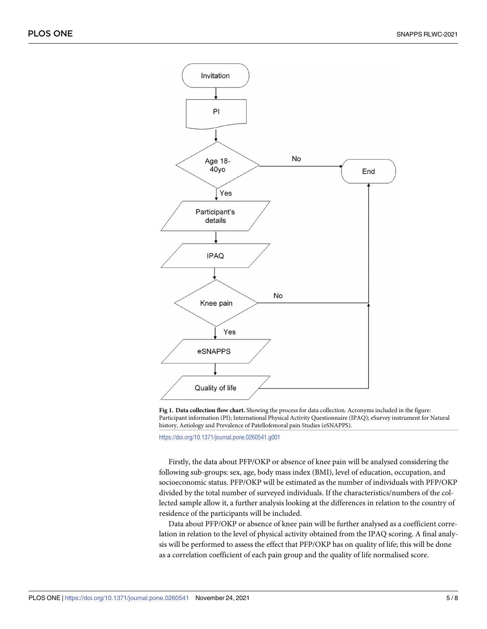<span id="page-5-0"></span>

**[Fig](#page-4-0) 1. Data collection flow chart.** Showing the process for data collection. Acronyms included in the figure: Participant information (PI); International Physical Activity Questionnaire (IPAQ); eSurvey instrument for Natural history, Aetiology and Prevalence of Patellofemoral pain Studies (eSNAPPS).

<https://doi.org/10.1371/journal.pone.0260541.g001>

Firstly, the data about PFP/OKP or absence of knee pain will be analysed considering the following sub-groups: sex, age, body mass index (BMI), level of education, occupation, and socioeconomic status. PFP/OKP will be estimated as the number of individuals with PFP/OKP divided by the total number of surveyed individuals. If the characteristics/numbers of the collected sample allow it, a further analysis looking at the differences in relation to the country of residence of the participants will be included.

Data about PFP/OKP or absence of knee pain will be further analysed as a coefficient correlation in relation to the level of physical activity obtained from the IPAQ scoring. A final analysis will be performed to assess the effect that PFP/OKP has on quality of life; this will be done as a correlation coefficient of each pain group and the quality of life normalised score.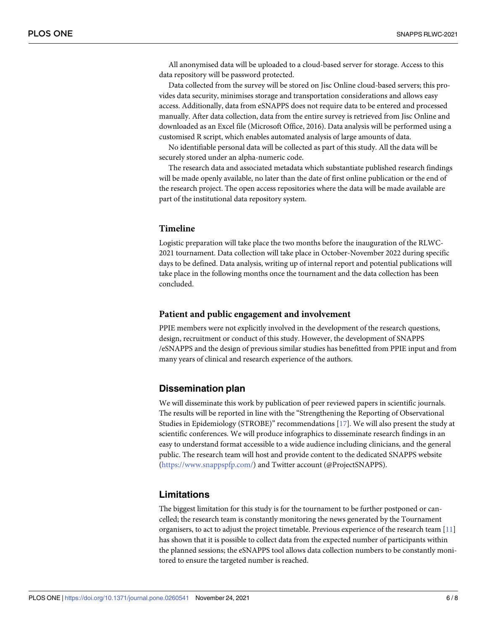<span id="page-6-0"></span>All anonymised data will be uploaded to a cloud-based server for storage. Access to this data repository will be password protected.

Data collected from the survey will be stored on Jisc Online cloud-based servers; this provides data security, minimises storage and transportation considerations and allows easy access. Additionally, data from eSNAPPS does not require data to be entered and processed manually. After data collection, data from the entire survey is retrieved from Jisc Online and downloaded as an Excel file (Microsoft Office, 2016). Data analysis will be performed using a customised R script, which enables automated analysis of large amounts of data.

No identifiable personal data will be collected as part of this study. All the data will be securely stored under an alpha-numeric code.

The research data and associated metadata which substantiate published research findings will be made openly available, no later than the date of first online publication or the end of the research project. The open access repositories where the data will be made available are part of the institutional data repository system.

## **Timeline**

Logistic preparation will take place the two months before the inauguration of the RLWC-2021 tournament. Data collection will take place in October-November 2022 during specific days to be defined. Data analysis, writing up of internal report and potential publications will take place in the following months once the tournament and the data collection has been concluded.

## **Patient and public engagement and involvement**

PPIE members were not explicitly involved in the development of the research questions, design, recruitment or conduct of this study. However, the development of SNAPPS /eSNAPPS and the design of previous similar studies has benefitted from PPIE input and from many years of clinical and research experience of the authors.

## **Dissemination plan**

We will disseminate this work by publication of peer reviewed papers in scientific journals. The results will be reported in line with the "Strengthening the Reporting of Observational Studies in Epidemiology (STROBE)" recommendations [[17](#page-8-0)]. We will also present the study at scientific conferences. We will produce infographics to disseminate research findings in an easy to understand format accessible to a wide audience including clinicians, and the general public. The research team will host and provide content to the dedicated SNAPPS website [\(https://www.snappspfp.com/\)](https://www.snappspfp.com/) and Twitter account (@ProjectSNAPPS).

## **Limitations**

The biggest limitation for this study is for the tournament to be further postponed or cancelled; the research team is constantly monitoring the news generated by the Tournament organisers, to act to adjust the project timetable. Previous experience of the research team [\[11\]](#page-7-0) has shown that it is possible to collect data from the expected number of participants within the planned sessions; the eSNAPPS tool allows data collection numbers to be constantly monitored to ensure the targeted number is reached.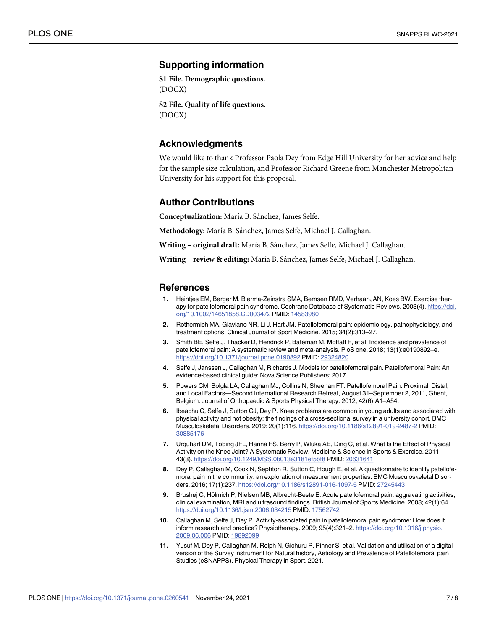## <span id="page-7-0"></span>**Supporting information**

**S1 [File.](http://www.plosone.org/article/fetchSingleRepresentation.action?uri=info:doi/10.1371/journal.pone.0260541.s001) Demographic questions.** (DOCX)

**S2 [File.](http://www.plosone.org/article/fetchSingleRepresentation.action?uri=info:doi/10.1371/journal.pone.0260541.s002) Quality of life questions.** (DOCX)

## **Acknowledgments**

We would like to thank Professor Paola Dey from Edge Hill University for her advice and help for the sample size calculation, and Professor Richard Greene from Manchester Metropolitan University for his support for this proposal.

## **Author Contributions**

**Conceptualization:** María B. Sánchez, James Selfe.

Methodology: María B. Sánchez, James Selfe, Michael J. Callaghan.

**Writing – original draft:** Marı´a B. Sa´nchez, James Selfe, Michael J. Callaghan.

**Writing** – **review & editing:** María B. Sánchez, James Selfe, Michael J. Callaghan.

## **References**

- **[1](#page-1-0).** Heintjes EM, Berger M, Bierma-Zeinstra SMA, Bernsen RMD, Verhaar JAN, Koes BW. Exercise therapy for patellofemoral pain syndrome. Cochrane Database of Systematic Reviews. 2003(4). [https://doi.](https://doi.org/10.1002/14651858.CD003472) [org/10.1002/14651858.CD003472](https://doi.org/10.1002/14651858.CD003472) PMID: [14583980](http://www.ncbi.nlm.nih.gov/pubmed/14583980)
- **[2](#page-1-0).** Rothermich MA, Glaviano NR, Li J, Hart JM. Patellofemoral pain: epidemiology, pathophysiology, and treatment options. Clinical Journal of Sport Medicine. 2015; 34(2):313–27.
- **[3](#page-1-0).** Smith BE, Selfe J, Thacker D, Hendrick P, Bateman M, Moffatt F, et al. Incidence and prevalence of patellofemoral pain: A systematic review and meta-analysis. PloS one. 2018; 13(1):e0190892–e. <https://doi.org/10.1371/journal.pone.0190892> PMID: [29324820](http://www.ncbi.nlm.nih.gov/pubmed/29324820)
- **[4](#page-2-0).** Selfe J, Janssen J, Callaghan M, Richards J. Models for patellofemoral pain. Patellofemoral Pain: An evidence-based clinical guide: Nova Science Publishers; 2017.
- **[5](#page-2-0).** Powers CM, Bolgla LA, Callaghan MJ, Collins N, Sheehan FT. Patellofemoral Pain: Proximal, Distal, and Local Factors—Second International Research Retreat, August 31–September 2, 2011, Ghent, Belgium. Journal of Orthopaedic & Sports Physical Therapy. 2012; 42(6):A1–A54.
- **[6](#page-2-0).** Ibeachu C, Selfe J, Sutton CJ, Dey P. Knee problems are common in young adults and associated with physical activity and not obesity: the findings of a cross-sectional survey in a university cohort. BMC Musculoskeletal Disorders. 2019; 20(1):116. <https://doi.org/10.1186/s12891-019-2487-2> PMID: [30885176](http://www.ncbi.nlm.nih.gov/pubmed/30885176)
- **[7](#page-2-0).** Urquhart DM, Tobing JFL, Hanna FS, Berry P, Wluka AE, Ding C, et al. What Is the Effect of Physical Activity on the Knee Joint? A Systematic Review. Medicine & Science in Sports & Exercise. 2011; 43(3). <https://doi.org/10.1249/MSS.0b013e3181ef5bf8> PMID: [20631641](http://www.ncbi.nlm.nih.gov/pubmed/20631641)
- **[8](#page-2-0).** Dey P, Callaghan M, Cook N, Sephton R, Sutton C, Hough E, et al. A questionnaire to identify patellofemoral pain in the community: an exploration of measurement properties. BMC Musculoskeletal Disorders. 2016; 17(1):237. <https://doi.org/10.1186/s12891-016-1097-5> PMID: [27245443](http://www.ncbi.nlm.nih.gov/pubmed/27245443)
- **[9](#page-2-0).** Brushøj C, Hölmich P, Nielsen MB, Albrecht-Beste E. Acute patellofemoral pain: aggravating activities, clinical examination, MRI and ultrasound findings. British Journal of Sports Medicine. 2008; 42(1):64. <https://doi.org/10.1136/bjsm.2006.034215> PMID: [17562742](http://www.ncbi.nlm.nih.gov/pubmed/17562742)
- **[10](#page-2-0).** Callaghan M, Selfe J, Dey P. Activity-associated pain in patellofemoral pain syndrome: How does it inform research and practice? Physiotherapy. 2009; 95(4):321–2. [https://doi.org/10.1016/j.physio.](https://doi.org/10.1016/j.physio.2009.06.006) [2009.06.006](https://doi.org/10.1016/j.physio.2009.06.006) PMID: [19892099](http://www.ncbi.nlm.nih.gov/pubmed/19892099)
- **[11](#page-2-0).** Yusuf M, Dey P, Callaghan M, Relph N, Gichuru P, Pinner S, et al. Validation and utilisation of a digital version of the Survey instrument for Natural history, Aetiology and Prevalence of Patellofemoral pain Studies (eSNAPPS). Physical Therapy in Sport. 2021.